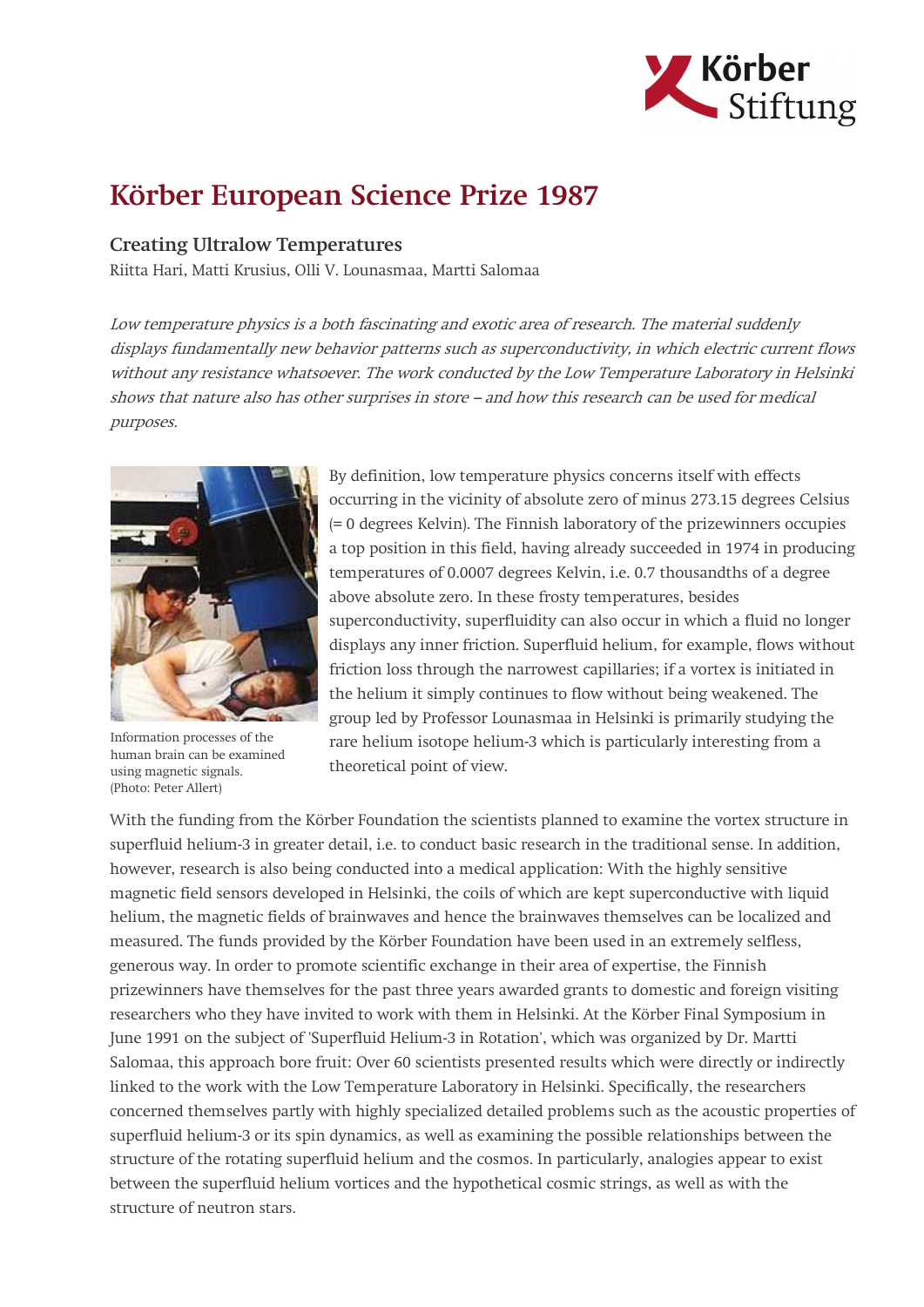

## Körber European Science Prize 1987

## Creating Ultralow Temperatures

Riitta Hari, Matti Krusius, Olli V. Lounasmaa, Martti Salomaa

Low temperature physics is a both fascinating and exotic area of research. The material suddenly displays fundamentally new behavior patterns such as superconductivity, in which electric current flows without any resistance whatsoever. The work conducted by the Low Temperature Laboratory in Helsinki shows that nature also has other surprises in store – and how this research can be used for medical purposes.



Information processes of the human brain can be examined using magnetic signals. (Photo: Peter Allert)

By definition, low temperature physics concerns itself with effects occurring in the vicinity of absolute zero of minus 273.15 degrees Celsius (= 0 degrees Kelvin). The Finnish laboratory of the prizewinners occupies a top position in this field, having already succeeded in 1974 in producing temperatures of 0.0007 degrees Kelvin, i.e. 0.7 thousandths of a degree above absolute zero. In these frosty temperatures, besides superconductivity, superfluidity can also occur in which a fluid no longer displays any inner friction. Superfluid helium, for example, flows without friction loss through the narrowest capillaries; if a vortex is initiated in the helium it simply continues to flow without being weakened. The group led by Professor Lounasmaa in Helsinki is primarily studying the rare helium isotope helium-3 which is particularly interesting from a theoretical point of view.

With the funding from the Körber Foundation the scientists planned to examine the vortex structure in superfluid helium-3 in greater detail, i.e. to conduct basic research in the traditional sense. In addition, however, research is also being conducted into a medical application: With the highly sensitive magnetic field sensors developed in Helsinki, the coils of which are kept superconductive with liquid helium, the magnetic fields of brainwaves and hence the brainwaves themselves can be localized and measured. The funds provided by the Körber Foundation have been used in an extremely selfless, generous way. In order to promote scientific exchange in their area of expertise, the Finnish prizewinners have themselves for the past three years awarded grants to domestic and foreign visiting researchers who they have invited to work with them in Helsinki. At the Körber Final Symposium in June 1991 on the subject of 'Superfluid Helium-3 in Rotation', which was organized by Dr. Martti Salomaa, this approach bore fruit: Over 60 scientists presented results which were directly or indirectly linked to the work with the Low Temperature Laboratory in Helsinki. Specifically, the researchers concerned themselves partly with highly specialized detailed problems such as the acoustic properties of superfluid helium-3 or its spin dynamics, as well as examining the possible relationships between the structure of the rotating superfluid helium and the cosmos. In particularly, analogies appear to exist between the superfluid helium vortices and the hypothetical cosmic strings, as well as with the structure of neutron stars.